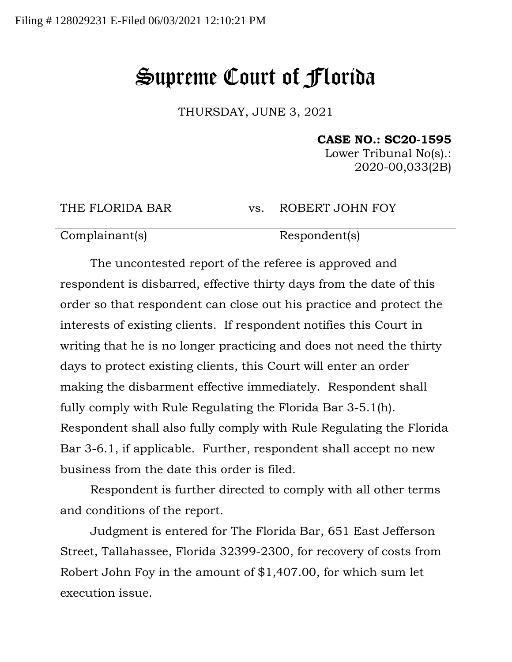## Supreme Court of Florida

THURSDAY, JUNE 3, 2021

**CASE NO.: SC20-1595**

Lower Tribunal No(s).: 2020-00,033(2B)

THE FLORIDA BAR vs. ROBERT JOHN FOY

Complainant(s) Respondent(s)

The uncontested report of the referee is approved and respondent is disbarred, effective thirty days from the date of this order so that respondent can close out his practice and protect the interests of existing clients. If respondent notifies this Court in writing that he is no longer practicing and does not need the thirty days to protect existing clients, this Court will enter an order making the disbarment effective immediately. Respondent shall fully comply with Rule Regulating the Florida Bar 3-5.1(h). Respondent shall also fully comply with Rule Regulating the Florida Bar 3-6.1, if applicable. Further, respondent shall accept no new business from the date this order is filed.

Respondent is further directed to comply with all other terms and conditions of the report.

Judgment is entered for The Florida Bar, 651 East Jefferson Street, Tallahassee, Florida 32399-2300, for recovery of costs from Robert John Foy in the amount of \$1,407.00, for which sum let execution issue.